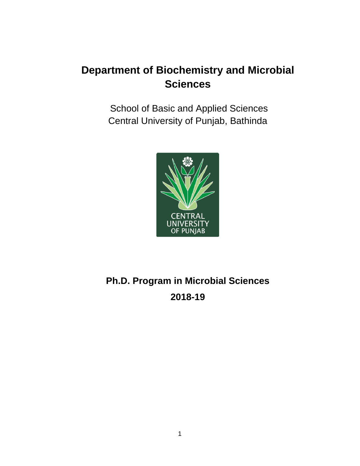## **Department of Biochemistry and Microbial Sciences**

School of Basic and Applied Sciences Central University of Punjab, Bathinda



# **Ph.D. Program in Microbial Sciences 2018-19**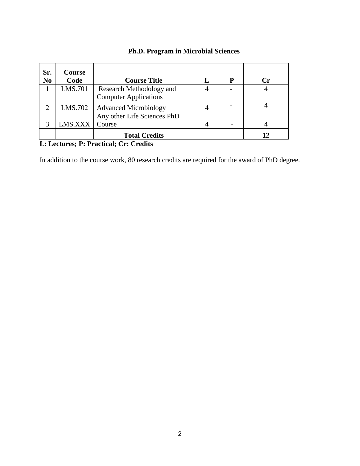| Sr.<br>N <sub>0</sub> | <b>Course</b><br>Code | <b>Course Title</b>          | L | P | $\mathbf{Cr}$ |
|-----------------------|-----------------------|------------------------------|---|---|---------------|
|                       | LMS.701               | Research Methodology and     |   |   |               |
|                       |                       | <b>Computer Applications</b> |   |   |               |
| 2                     | LMS.702               | <b>Advanced Microbiology</b> |   |   |               |
|                       |                       | Any other Life Sciences PhD  |   |   |               |
| 3                     | LMS.XXX               | Course                       |   |   |               |
|                       |                       | <b>Total Credits</b>         |   |   | 12            |

## **Ph.D. Program in Microbial Sciences**

## **L: Lectures; P: Practical; Cr: Credits**

In addition to the course work, 80 research credits are required for the award of PhD degree.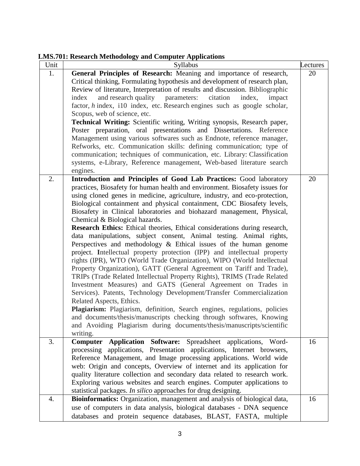**LMS.701: Research Methodology and Computer Applications**

| Unit | $\sim$<br>Syllabus                                                                                                                                | ectures |  |  |
|------|---------------------------------------------------------------------------------------------------------------------------------------------------|---------|--|--|
| 1.   | General Principles of Research: Meaning and importance of research,                                                                               | 20      |  |  |
|      | Critical thinking, Formulating hypothesis and development of research plan,                                                                       |         |  |  |
|      | Review of literature, Interpretation of results and discussion. Bibliographic                                                                     |         |  |  |
|      | and research quality parameters: citation<br>index,<br>index<br>impact                                                                            |         |  |  |
|      | factor, h index, i10 index, etc. Research engines such as google scholar,                                                                         |         |  |  |
|      | Scopus, web of science, etc.                                                                                                                      |         |  |  |
|      | Technical Writing: Scientific writing, Writing synopsis, Research paper,                                                                          |         |  |  |
|      | Poster preparation, oral presentations and Dissertations. Reference                                                                               |         |  |  |
|      | Management using various softwares such as Endnote, reference manager,                                                                            |         |  |  |
|      | Refworks, etc. Communication skills: defining communication; type of                                                                              |         |  |  |
|      | communication; techniques of communication, etc. Library: Classification                                                                          |         |  |  |
|      | systems, e-Library, Reference management, Web-based literature search                                                                             |         |  |  |
|      | engines.                                                                                                                                          |         |  |  |
| 2.   |                                                                                                                                                   | 20      |  |  |
|      | Introduction and Principles of Good Lab Practices: Good laboratory<br>practices, Biosafety for human health and environment. Biosafety issues for |         |  |  |
|      |                                                                                                                                                   |         |  |  |
|      | using cloned genes in medicine, agriculture, industry, and eco-protection,                                                                        |         |  |  |
|      | Biological containment and physical containment, CDC Biosafety levels,                                                                            |         |  |  |
|      | Biosafety in Clinical laboratories and biohazard management, Physical,                                                                            |         |  |  |
|      | Chemical & Biological hazards.                                                                                                                    |         |  |  |
|      | Research Ethics: Ethical theories, Ethical considerations during research,                                                                        |         |  |  |
|      | data manipulations, subject consent, Animal testing. Animal rights,                                                                               |         |  |  |
|      | Perspectives and methodology $\&$ Ethical issues of the human genome                                                                              |         |  |  |
|      | project. Intellectual property protection (IPP) and intellectual property                                                                         |         |  |  |
|      | rights (IPR), WTO (World Trade Organization), WIPO (World Intellectual                                                                            |         |  |  |
|      | Property Organization), GATT (General Agreement on Tariff and Trade),                                                                             |         |  |  |
|      | TRIPs (Trade Related Intellectual Property Rights), TRIMS (Trade Related                                                                          |         |  |  |
|      | Investment Measures) and GATS (General Agreement on Trades in                                                                                     |         |  |  |
|      | Services). Patents, Technology Development/Transfer Commercialization                                                                             |         |  |  |
|      | Related Aspects, Ethics.                                                                                                                          |         |  |  |
|      | Plagiarism: Plagiarism, definition, Search engines, regulations, policies                                                                         |         |  |  |
|      | and documents/thesis/manuscripts checking through softwares, Knowing                                                                              |         |  |  |
|      | and Avoiding Plagiarism during documents/thesis/manuscripts/scientific                                                                            |         |  |  |
|      | writing.                                                                                                                                          |         |  |  |
| 3.   | Application Software: Spreadsheet applications, Word-<br>Computer                                                                                 | 16      |  |  |
|      | processing applications, Presentation applications, Internet browsers,                                                                            |         |  |  |
|      | Reference Management, and Image processing applications. World wide                                                                               |         |  |  |
|      | web: Origin and concepts, Overview of internet and its application for                                                                            |         |  |  |
|      | quality literature collection and secondary data related to research work.                                                                        |         |  |  |
|      | Exploring various websites and search engines. Computer applications to                                                                           |         |  |  |
|      | statistical packages. In silico approaches for drug designing.                                                                                    |         |  |  |
| 4.   | Bioinformatics: Organization, management and analysis of biological data,                                                                         | 16      |  |  |
|      | use of computers in data analysis, biological databases - DNA sequence                                                                            |         |  |  |
|      | databases and protein sequence databases, BLAST, FASTA, multiple                                                                                  |         |  |  |